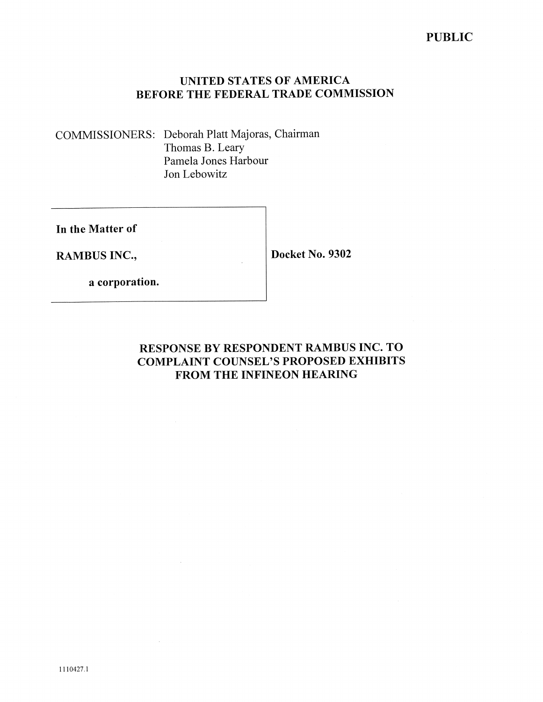# UNITED STATES OF AMERICA BEFORE THE FEDERAL TRADE COMMISSION

COMMISSIONERS: Deborah Platt Majoras, Chairman Thomas B. Leary Pamela Jones Harbour Jon Lebowitz

In the Matter of

RAMBUS INC.,

Docket No. 9302

a corporation.

# RESPONSE BY RESPONDENT RAMBUS INC. TO **COMPLAINT COUNSEL'S PROPOSED EXHIBITS** FROM THE INFINEON HEARING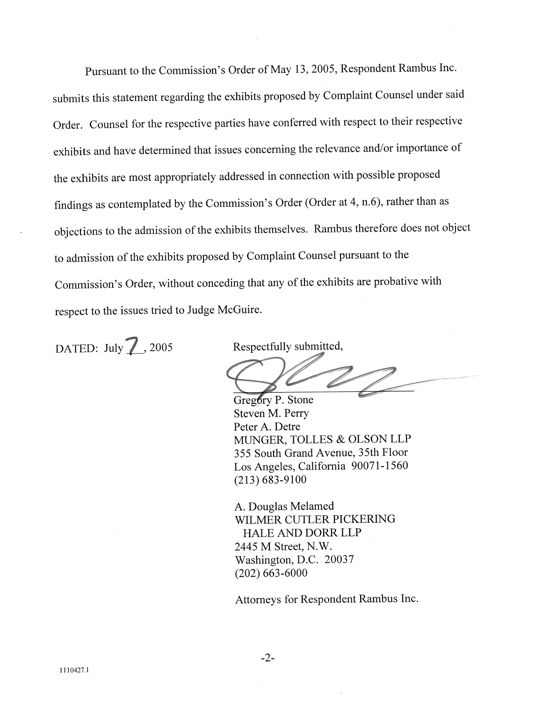Pursuant to the Commission's Order of May 13, 2005, Respondent Rambus Inc. submits this statement regarding the exhibits proposed by Complaint Counsel under said Order. Counsel for the respective parties have conferred with respect to their respective exhibits and have determined that issues concerning the relevance and/or importance of the exhibits are most appropriately addressed in connection with possible proposed findings as contemplated by the Commission's Order (Order at 4, n.6), rather than as objections to the admission of the exhibits themselves. Rambus therefore does not object to admission of the exhibits proposed by Complaint Counsel pursuant to the Commission's Order, without conceding that any of the exhibits are probative with respect to the issues tried to Judge McGuire.

DATED: July 7, 2005

Respectfully submitted,

Gregory P. Stone Steven M. Perry Peter A. Detre MUNGER, TOLLES & OLSON LLP 355 South Grand Avenue, 35th Floor Los Angeles, California 90071-1560  $(213) 683 - 9100$ 

A. Douglas Melamed WILMER CUTLER PICKERING **HALE AND DORR LLP** 2445 M Street, N.W. Washington, D.C. 20037  $(202)$  663-6000

Attorneys for Respondent Rambus Inc.

 $-2-$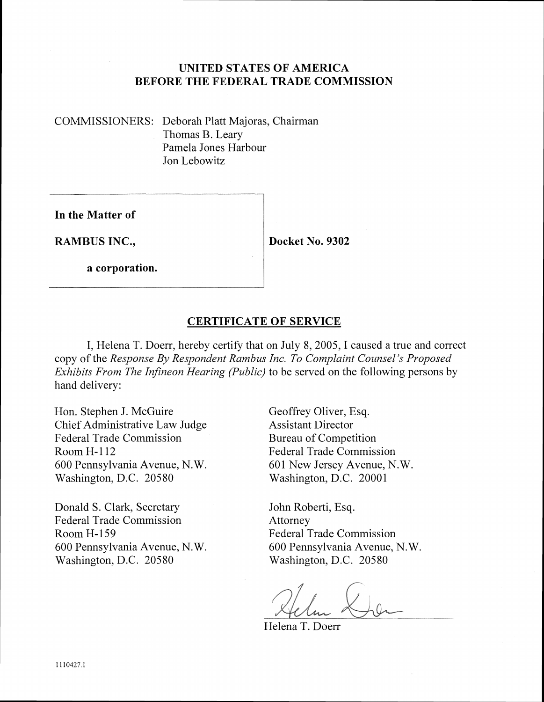### **UNITED STATES OF AMERICA BEFORE THE FEDERAL TRADE COMMISSION**

COMMISSIONERS: Deborah Platt Majoras, Chairman Thomas B. Leary Pamela Jones Harbour Jon Lebowitz

**In the Matter of** 

**RAMBUS INC.,** 

**Docket No. 9302** 

**a corporation.** 

## **CERTIFICATE OF SERVICE**

I, Helena T. Doerr, hereby certify that on July 8, 2005, I caused a true and correct copy of the *Response By Respondent Rambus Inc. To Complaint Counsel's Proposed Exhibits From The Infineon Hearing (Public)* to be served on the following persons by hand delivery:

Hon. Stephen J. McGuire Geoffrey Oliver, Esq. Chief Administrative Law Judge Assistant Director Federal Trade Commission Bureau of Competition Room H-112 Federal Trade Commission 600 Pennsylvania Avenue, N.W. 601 New Jersey Avenue, N.W. Washington, D.C. 20580 Washington, D.C. 20001

Donald S. Clark, Secretary John Roberti, Esq. Federal Trade Commission Attorney Room H-159 Federal Trade Commission 600 Pennsylvania Avenue, N. W. 600 Pennsylvania Avenue, N. W. Washington, D.C. 20580 Washington, D.C. 20580

Helena T. Doerr